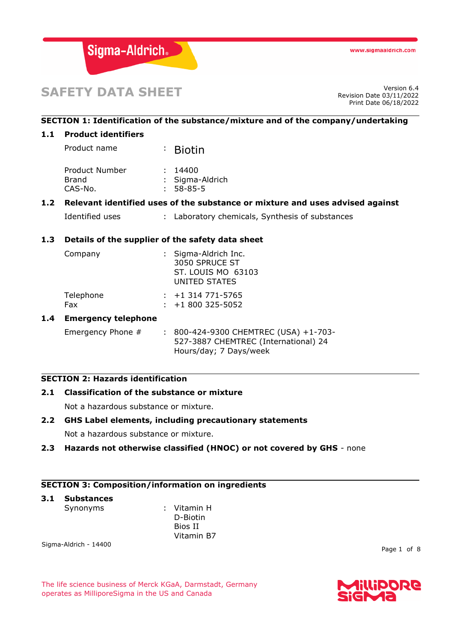

# **SAFETY DATA SHEET**

Revision Date 03/11/2022 Print Date 06/18/2022

# **SECTION 1: Identification of the substance/mixture and of the company/undertaking**

## **1.1 Product identifiers**

Product name : Biotin

| Product Number | : 14400         |
|----------------|-----------------|
| Brand          | : Sigma-Aldrich |
| CAS-No.        | $: 58 - 85 - 5$ |

#### **1.2 Relevant identified uses of the substance or mixture and uses advised against**

```
Identified uses : Laboratory chemicals, Synthesis of substances
```
# **1.3 Details of the supplier of the safety data sheet**

| Company          | : Sigma-Aldrich Inc.<br>3050 SPRUCE ST<br>ST. LOUIS MO 63103<br>UNITED STATES |
|------------------|-------------------------------------------------------------------------------|
| Telephone<br>Fax | $: +1$ 314 771-5765<br>$: +1800325 - 5052$                                    |

#### **1.4 Emergency telephone**

Emergency Phone # : 800-424-9300 CHEMTREC (USA) +1-703-527-3887 CHEMTREC (International) 24 Hours/day; 7 Days/week

#### **SECTION 2: Hazards identification**

# **2.1 Classification of the substance or mixture**

Not a hazardous substance or mixture.

# **2.2 GHS Label elements, including precautionary statements**

Not a hazardous substance or mixture.

#### **2.3 Hazards not otherwise classified (HNOC) or not covered by GHS** - none

# **SECTION 3: Composition/information on ingredients**

#### **3.1 Substances**

Synonyms : Vitamin H D-Biotin Bios II Vitamin B7

Sigma-Aldrich - 14400

Page 1 of 8

The life science business of Merck KGaA, Darmstadt, Germany operates as MilliporeSigma in the US and Canada

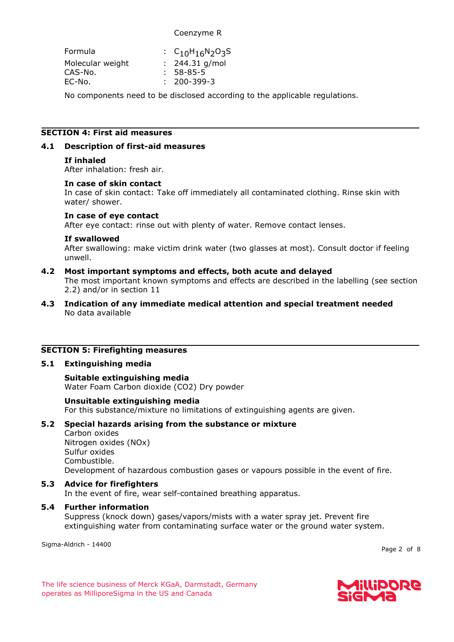# Coenzyme R

| : $C_{10}H_{16}N_{2}O_{3}S$ |
|-----------------------------|
| : $244.31$ g/mol            |
| $: 58 - 85 - 5$             |
| $: 200 - 399 - 3$           |
|                             |

No components need to be disclosed according to the applicable regulations.

# **SECTION 4: First aid measures**

# **4.1 Description of first-aid measures**

# **If inhaled**

After inhalation: fresh air.

## **In case of skin contact**

In case of skin contact: Take off immediately all contaminated clothing. Rinse skin with water/ shower.

#### **In case of eye contact**

After eye contact: rinse out with plenty of water. Remove contact lenses.

#### **If swallowed**

After swallowing: make victim drink water (two glasses at most). Consult doctor if feeling unwell.

# **4.2 Most important symptoms and effects, both acute and delayed**

The most important known symptoms and effects are described in the labelling (see section 2.2) and/or in section 11

**4.3 Indication of any immediate medical attention and special treatment needed** No data available

# **SECTION 5: Firefighting measures**

# **5.1 Extinguishing media**

# **Suitable extinguishing media**

Water Foam Carbon dioxide (CO2) Dry powder

# **Unsuitable extinguishing media**

For this substance/mixture no limitations of extinguishing agents are given.

# **5.2 Special hazards arising from the substance or mixture**

Carbon oxides

Nitrogen oxides (NOx) Sulfur oxides Combustible. Development of hazardous combustion gases or vapours possible in the event of fire.

# **5.3 Advice for firefighters**

In the event of fire, wear self-contained breathing apparatus.

# **5.4 Further information**

Suppress (knock down) gases/vapors/mists with a water spray jet. Prevent fire extinguishing water from contaminating surface water or the ground water system.

Sigma-Aldrich - 14400

Page 2 of 8

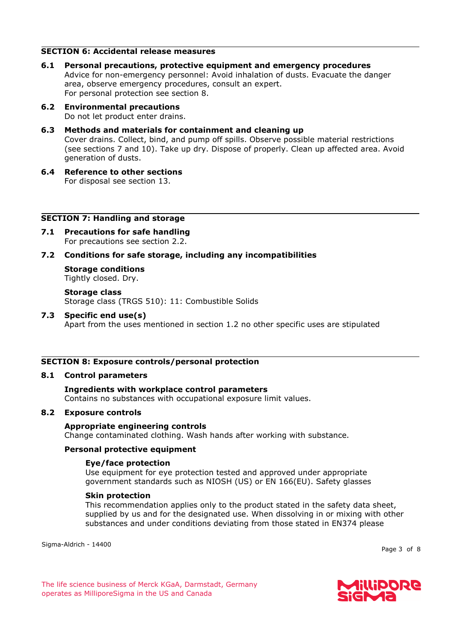# **SECTION 6: Accidental release measures**

- **6.1 Personal precautions, protective equipment and emergency procedures** Advice for non-emergency personnel: Avoid inhalation of dusts. Evacuate the danger area, observe emergency procedures, consult an expert. For personal protection see section 8.
- **6.2 Environmental precautions** Do not let product enter drains.
- **6.3 Methods and materials for containment and cleaning up** Cover drains. Collect, bind, and pump off spills. Observe possible material restrictions (see sections 7 and 10). Take up dry. Dispose of properly. Clean up affected area. Avoid generation of dusts.
- **6.4 Reference to other sections** For disposal see section 13.

#### **SECTION 7: Handling and storage**

- **7.1 Precautions for safe handling** For precautions see section 2.2.
- **7.2 Conditions for safe storage, including any incompatibilities**
	- **Storage conditions** Tightly closed. Dry.

**Storage class** Storage class (TRGS 510): 11: Combustible Solids

**7.3 Specific end use(s)**

Apart from the uses mentioned in section 1.2 no other specific uses are stipulated

# **SECTION 8: Exposure controls/personal protection**

#### **8.1 Control parameters**

# **Ingredients with workplace control parameters**

Contains no substances with occupational exposure limit values.

# **8.2 Exposure controls**

#### **Appropriate engineering controls**

Change contaminated clothing. Wash hands after working with substance.

# **Personal protective equipment**

#### **Eye/face protection**

Use equipment for eye protection tested and approved under appropriate government standards such as NIOSH (US) or EN 166(EU). Safety glasses

#### **Skin protection**

This recommendation applies only to the product stated in the safety data sheet, supplied by us and for the designated use. When dissolving in or mixing with other substances and under conditions deviating from those stated in EN374 please

Sigma-Aldrich - 14400

Page 3 of 8

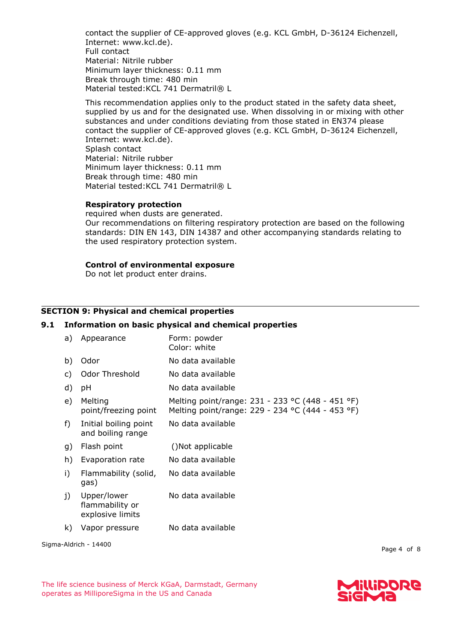contact the supplier of CE-approved gloves (e.g. KCL GmbH, D-36124 Eichenzell, Internet: www.kcl.de). Full contact Material: Nitrile rubber Minimum layer thickness: 0.11 mm Break through time: 480 min Material tested: KCL 741 Dermatril® L

This recommendation applies only to the product stated in the safety data sheet, supplied by us and for the designated use. When dissolving in or mixing with other substances and under conditions deviating from those stated in EN374 please contact the supplier of CE-approved gloves (e.g. KCL GmbH, D-36124 Eichenzell, Internet: www.kcl.de). Splash contact Material: Nitrile rubber Minimum layer thickness: 0.11 mm Break through time: 480 min Material tested: KCL 741 Dermatril® L

#### **Respiratory protection**

required when dusts are generated. Our recommendations on filtering respiratory protection are based on the following standards: DIN EN 143, DIN 14387 and other accompanying standards relating to the used respiratory protection system.

# **Control of environmental exposure**

Do not let product enter drains.

# **SECTION 9: Physical and chemical properties**

#### **9.1 Information on basic physical and chemical properties**

|                       | a) | Appearance                                         | Form: powder<br>Color: white                                                                         |
|-----------------------|----|----------------------------------------------------|------------------------------------------------------------------------------------------------------|
|                       | b) | Odor                                               | No data available                                                                                    |
|                       | C) | Odor Threshold                                     | No data available                                                                                    |
|                       | d) | pH                                                 | No data available                                                                                    |
|                       | e) | Melting<br>point/freezing point                    | Melting point/range: 231 - 233 °C (448 - 451 °F)<br>Melting point/range: 229 - 234 °C (444 - 453 °F) |
|                       | f) | Initial boiling point<br>and boiling range         | No data available                                                                                    |
|                       | g) | Flash point                                        | ()Not applicable                                                                                     |
|                       | h) | Evaporation rate                                   | No data available                                                                                    |
|                       | i) | Flammability (solid,<br>gas)                       | No data available                                                                                    |
|                       | j) | Upper/lower<br>flammability or<br>explosive limits | No data available                                                                                    |
|                       | k) | Vapor pressure                                     | No data available                                                                                    |
| Sigma-Aldrich - 14400 |    |                                                    |                                                                                                      |

Page 4 of 8

The life science business of Merck KGaA, Darmstadt, Germany operates as MilliporeSigma in the US and Canada

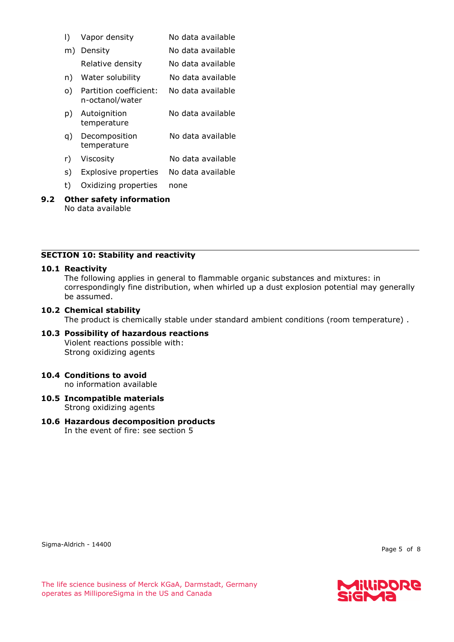| I) | Vapor density                             | No data available |
|----|-------------------------------------------|-------------------|
| m) | Density                                   | No data available |
|    | Relative density                          | No data available |
| n) | Water solubility                          | No data available |
| O) | Partition coefficient:<br>n-octanol/water | No data available |
| p) | Autoignition<br>temperature               | No data available |
| q) | Decomposition<br>temperature              | No data available |
| r) | Viscosity                                 | No data available |
| S) | <b>Explosive properties</b>               | No data available |
| t) | Oxidizing properties                      | none              |

# **9.2 Other safety information** No data available

# **SECTION 10: Stability and reactivity**

### **10.1 Reactivity**

The following applies in general to flammable organic substances and mixtures: in correspondingly fine distribution, when whirled up a dust explosion potential may generally be assumed.

#### **10.2 Chemical stability**

The product is chemically stable under standard ambient conditions (room temperature) .

- **10.3 Possibility of hazardous reactions** Violent reactions possible with: Strong oxidizing agents
- **10.4 Conditions to avoid** no information available
- **10.5 Incompatible materials** Strong oxidizing agents
- **10.6 Hazardous decomposition products** In the event of fire: see section 5

Sigma-Aldrich - 14400

Page 5 of 8

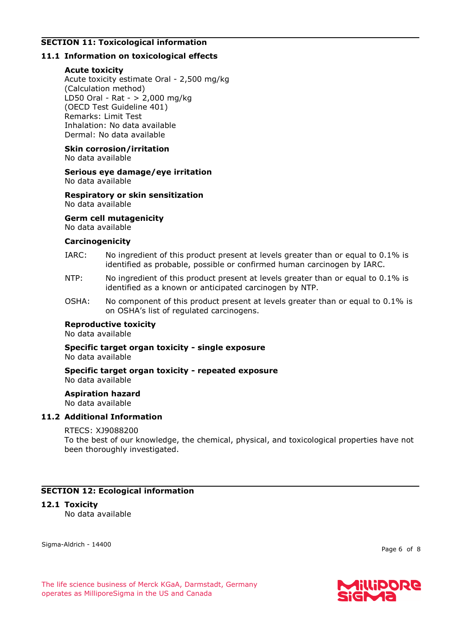# **SECTION 11: Toxicological information**

# **11.1 Information on toxicological effects**

# **Acute toxicity**

Acute toxicity estimate Oral - 2,500 mg/kg (Calculation method) LD50 Oral - Rat - > 2,000 mg/kg (OECD Test Guideline 401) Remarks: Limit Test Inhalation: No data available Dermal: No data available

# **Skin corrosion/irritation**

No data available

#### **Serious eye damage/eye irritation** No data available

## **Respiratory or skin sensitization** No data available

# **Germ cell mutagenicity**

No data available

#### **Carcinogenicity**

- IARC: No ingredient of this product present at levels greater than or equal to 0.1% is identified as probable, possible or confirmed human carcinogen by IARC.
- NTP: No ingredient of this product present at levels greater than or equal to 0.1% is identified as a known or anticipated carcinogen by NTP.
- OSHA: No component of this product present at levels greater than or equal to 0.1% is on OSHA's list of regulated carcinogens.

# **Reproductive toxicity**

No data available

#### **Specific target organ toxicity - single exposure** No data available

#### **Specific target organ toxicity - repeated exposure** No data available

**Aspiration hazard**

No data available

# **11.2 Additional Information**

# RTECS: XJ9088200

To the best of our knowledge, the chemical, physical, and toxicological properties have not been thoroughly investigated.

# **SECTION 12: Ecological information**

# **12.1 Toxicity**

No data available

Sigma-Aldrich - 14400

Page 6 of 8

The life science business of Merck KGaA, Darmstadt, Germany operates as MilliporeSigma in the US and Canada

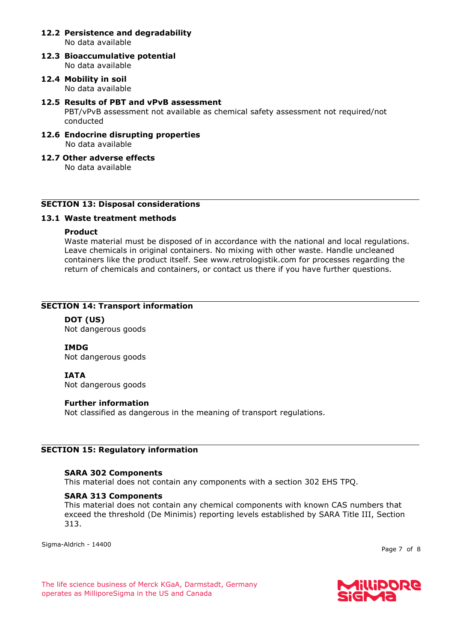#### **12.2 Persistence and degradability** No data available

- **12.3 Bioaccumulative potential** No data available
- **12.4 Mobility in soil** No data available
- **12.5 Results of PBT and vPvB assessment** PBT/vPvB assessment not available as chemical safety assessment not required/not conducted
- **12.6 Endocrine disrupting properties** No data available
- **12.7 Other adverse effects** No data available

# **SECTION 13: Disposal considerations**

# **13.1 Waste treatment methods**

# **Product**

Waste material must be disposed of in accordance with the national and local regulations. Leave chemicals in original containers. No mixing with other waste. Handle uncleaned containers like the product itself. See www.retrologistik.com for processes regarding the return of chemicals and containers, or contact us there if you have further questions.

# **SECTION 14: Transport information**

**DOT (US)** Not dangerous goods

**IMDG** Not dangerous goods

**IATA**

Not dangerous goods

# **Further information**

Not classified as dangerous in the meaning of transport regulations.

# **SECTION 15: Regulatory information**

# **SARA 302 Components**

This material does not contain any components with a section 302 EHS TPQ.

# **SARA 313 Components**

This material does not contain any chemical components with known CAS numbers that exceed the threshold (De Minimis) reporting levels established by SARA Title III, Section 313.

Sigma-Aldrich - 14400

Page 7 of 8